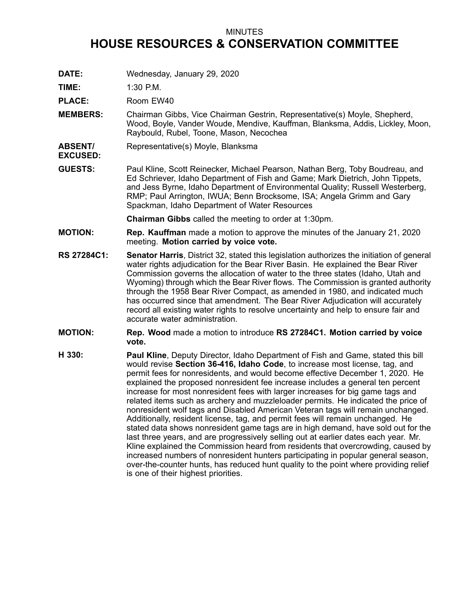## MINUTES

## **HOUSE RESOURCES & CONSERVATION COMMITTEE**

**DATE:** Wednesday, January 29, 2020

**TIME:** 1:30 P.M.

PLACE: Room EW40

- **MEMBERS:** Chairman Gibbs, Vice Chairman Gestrin, Representative(s) Moyle, Shepherd, Wood, Boyle, Vander Woude, Mendive, Kauffman, Blanksma, Addis, Lickley, Moon, Raybould, Rubel, Toone, Mason, Necochea
- **ABSENT/ EXCUSED:** Representative(s) Moyle, Blanksma
- **GUESTS:** Paul Kline, Scott Reinecker, Michael Pearson, Nathan Berg, Toby Boudreau, and Ed Schriever, Idaho Department of Fish and Game; Mark Dietrich, John Tippets, and Jess Byrne, Idaho Department of Environmental Quality; Russell Westerberg, RMP; Paul Arrington, IWUA; Benn Brocksome, ISA; Angela Grimm and Gary Spackman, Idaho Department of Water Resources

**Chairman Gibbs** called the meeting to order at 1:30pm.

- **MOTION: Rep. Kauffman** made <sup>a</sup> motion to approve the minutes of the January 21, 2020 meeting. **Motion carried by voice vote.**
- **RS 27284C1: Senator Harris**, District 32, stated this legislation authorizes the initiation of general water rights adjudication for the Bear River Basin. He explained the Bear River Commission governs the allocation of water to the three states (Idaho, Utah and Wyoming) through which the Bear River flows. The Commission is granted authority through the 1958 Bear River Compact, as amended in 1980, and indicated much has occurred since that amendment. The Bear River Adjudication will accurately record all existing water rights to resolve uncertainty and help to ensure fair and accurate water administration.
- **MOTION: Rep. Wood** made <sup>a</sup> motion to introduce **RS 27284C1. Motion carried by voice vote.**
- **H 330: Paul Kline**, Deputy Director, Idaho Department of Fish and Game, stated this bill would revise **Section 36-416, Idaho Code**, to increase most license, tag, and permit fees for nonresidents, and would become effective December 1, 2020. He explained the proposed nonresident fee increase includes <sup>a</sup> general ten percent increase for most nonresident fees with larger increases for big game tags and related items such as archery and muzzleloader permits. He indicated the price of nonresident wolf tags and Disabled American Veteran tags will remain unchanged. Additionally, resident license, tag, and permit fees will remain unchanged. He stated data shows nonresident game tags are in high demand, have sold out for the last three years, and are progressively selling out at earlier dates each year. Mr. Kline explained the Commission heard from residents that overcrowding, caused by increased numbers of nonresident hunters participating in popular general season, over-the-counter hunts, has reduced hunt quality to the point where providing relief is one of their highest priorities.